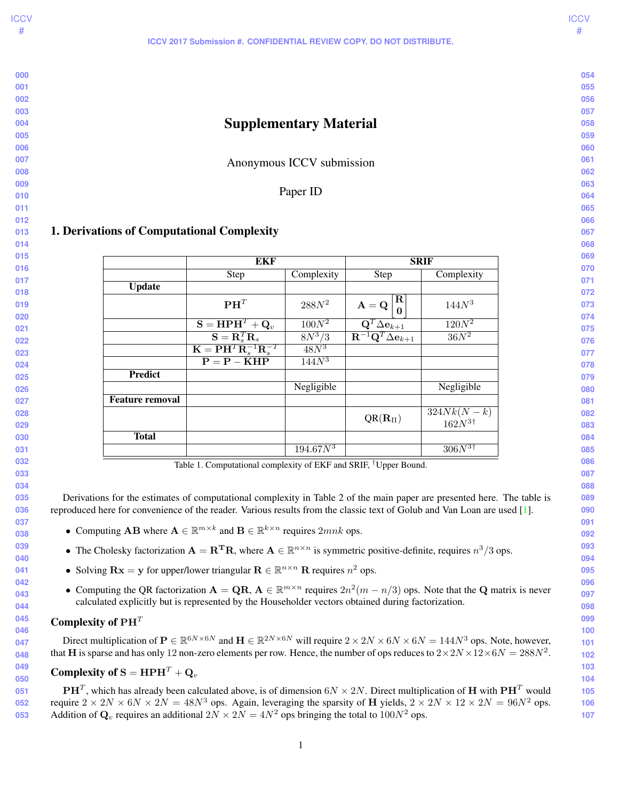<span id="page-0-0"></span>Supplementary Material Anonymous ICCV submission Paper ID Update  $\mathbf{P}\mathbf{H}^T$ 288 $N^2$   $\boldsymbol{A} = \boldsymbol{Q}$ Т R Τ

# 1. Derivations of Computational Complexity

|                        | EKF                                                                        |                   | <b>SRIF</b>                                                                                    |                                     |  |  |
|------------------------|----------------------------------------------------------------------------|-------------------|------------------------------------------------------------------------------------------------|-------------------------------------|--|--|
|                        | <b>Step</b>                                                                | Complexity        | <b>Step</b>                                                                                    | Complexity                          |  |  |
| <b>Update</b>          |                                                                            |                   |                                                                                                |                                     |  |  |
|                        | $\mathbf{P}\mathbf{H}^T$                                                   | $288N^2$          | R<br>$\mathbf{A}=\mathbf{Q}$<br>0                                                              | 144N <sup>3</sup>                   |  |  |
|                        | $\mathbf{S} = \mathbf{H} \mathbf{P} \mathbf{H}^T + \mathbf{Q}_v$           | $100N^2$          | $\frac{\mathbf{Q}^T\Delta\mathbf{e}_{k+1}}{\mathbf{R}^{-1}\mathbf{Q}^T\Delta\mathbf{e}_{k+1}}$ | $120N^2$                            |  |  |
|                        | $\mathbf{S} = \mathbf{R}_s^T \mathbf{R}_s$                                 | $8N^3/3$          |                                                                                                | $36N^2$                             |  |  |
|                        | $\mathbf{K} = \mathbf{P} \mathbf{H}^T \mathbf{R}_s^{-1} \mathbf{R}_s^{-T}$ | $48N^3$           |                                                                                                |                                     |  |  |
|                        | $P = P - KHP$                                                              | 144N <sup>3</sup> |                                                                                                |                                     |  |  |
| <b>Predict</b>         |                                                                            |                   |                                                                                                |                                     |  |  |
|                        |                                                                            | Negligible        |                                                                                                | Negligible                          |  |  |
| <b>Feature removal</b> |                                                                            |                   |                                                                                                |                                     |  |  |
|                        |                                                                            |                   | $QR(R_{\Pi})$                                                                                  | $324Nk(N - k)$<br>$162N^{3\dagger}$ |  |  |
| <b>Total</b>           |                                                                            |                   |                                                                                                |                                     |  |  |
|                        |                                                                            | $194.67N^3$       |                                                                                                | $306N^{3\dagger}$                   |  |  |

Table 1. Computational complexity of EKF and SRIF, †Upper Bound.

Derivations for the estimates of computational complexity in Table 2 of the main paper are presented here. The table is reproduced here for convenience of the reader. Various results from the classic text of Golub and Van Loan are used [\[1\]](#page-3-0).

- Computing **AB** where  $A \in \mathbb{R}^{m \times k}$  and  $B \in \mathbb{R}^{k \times n}$  requires  $2mnk$  ops.
- The Cholesky factorization  $A = \mathbf{R}^T \mathbf{R}$ , where  $\mathbf{A} \in \mathbb{R}^{n \times n}$  is symmetric positive-definite, requires  $n^3/3$  ops.
- Solving  $\mathbf{R} \mathbf{x} = \mathbf{y}$  for upper/lower triangular  $\mathbf{R} \in \mathbb{R}^{n \times n}$  R requires  $n^2$  ops.
- Computing the QR factorization  $A = QR$ ,  $A \in \mathbb{R}^{m \times n}$  requires  $2n^2(m n/3)$  ops. Note that the Q matrix is never calculated explicitly but is represented by the Householder vectors obtained during factorization.

## Complexity of  $PH<sup>T</sup>$

Direct multiplication of  $P \in \mathbb{R}^{6N \times 6N}$  and  $H \in \mathbb{R}^{2N \times 6N}$  will require  $2 \times 2N \times 6N \times 6N = 144N^3$  ops. Note, however, that H is sparse and has only 12 non-zero elements per row. Hence, the number of ops reduces to  $2 \times 2N \times 12 \times 6N = 288N^2$ .

#### Complexity of  $S = HPH<sup>T</sup> + Q<sub>v</sub>$

  $\mathbf{P}\mathbf{H}^T$ , which has already been calculated above, is of dimension 6 $N\times 2N$ . Direct multiplication of  $\mathbf H$  with  $\mathbf{P}\mathbf{H}^T$  would require  $2 \times 2N \times 6N \times 2N = 48N^3$  ops. Again, leveraging the sparsity of H yields,  $2 \times 2N \times 12 \times 2N = 96N^2$  ops. Addition of  $\mathbf{Q}_v$  requires an additional  $2N \times 2N = 4N^2$  ops bringing the total to  $100N^2$  ops.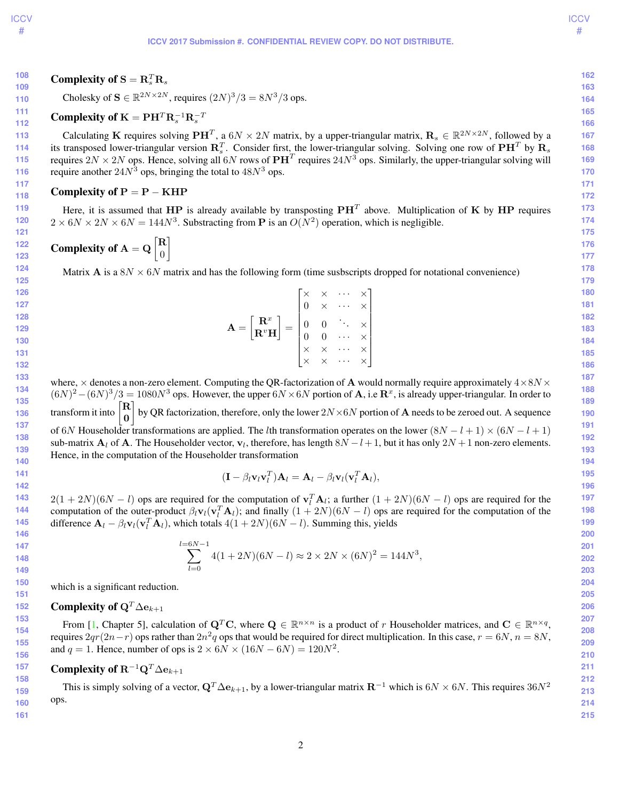**ICCV** #

**135**

#### **ICCV 2017 Submission #. CONFIDENTIAL REVIEW COPY. DO NOT DISTRIBUTE.**

**162**

Cholesky of 
$$
S \in \mathbb{R}^{2N \times 2N}
$$
, requires  $(2N)^3/3 = 8N^3/3$  ops.

# Complexity of  $K = PH^{T}R_{s}^{-1}R_{s}^{-T}$

<span id="page-1-0"></span>Complexity of  $S = \mathbf{R}_s^T \mathbf{R}_s$ 

Calculating K requires solving  $\mathbf{P}\mathbf{H}^T$ , a  $6N \times 2N$  matrix, by a upper-triangular matrix,  $\mathbf{R}_s \in \mathbb{R}^{2N \times 2N}$ , followed by a its transposed lower-triangular version  $R_s^T$ . Consider first, the lower-triangular solving. Solving one row of  $\textbf{P}\textbf{H}^T$  by  $\textbf{R}_s$ requires  $2N \times 2N$  ops. Hence, solving all 6N rows of  $\mathbf{PH}^T$  requires  $24N^3$  ops. Similarly, the upper-triangular solving will require another  $24N^3$  ops, bringing the total to  $48N^3$  ops.

## Complexity of  $P = P - KHP$

Here, it is assumed that  $HP$  is already available by transposting  $PH^T$  above. Multiplication of K by HP requires  $2 \times 6N \times 2N \times 6N = 144N^3$ . Substracting from **P** is an  $O(N^2)$  operation, which is negligible.

Complexity of  $A = Q \begin{bmatrix} R \\ 0 \end{bmatrix}$ 0 1

Matrix A is a  $8N \times 6N$  matrix and has the following form (time susbscripts dropped for notational convenience)

$$
\begin{bmatrix} \times & \times & \cdots & \times \\ 0 & \times & \cdots & \times \end{bmatrix}
$$
 180

$$
\mathbf{A} = \begin{bmatrix} \mathbf{R}^x \\ \mathbf{R}^v \mathbf{H} \end{bmatrix} = \begin{bmatrix} 0 & \times & \cdots & \times \\ 0 & 0 & \ddots & \times \\ 0 & 0 & \cdots & \times \\ \times & \times & \cdots & \times \\ \times & \times & \cdots & \times \end{bmatrix}
$$

**134 136 137 138 139 140** where,  $\times$  denotes a non-zero element. Computing the QR-factorization of **A** would normally require approximately  $4\times8N\times$  $(6N)^2 - (6N)^3/3 = 1080N^3$  ops. However, the upper  $6N \times 6N$  portion of **A**, i.e **R**<sup>x</sup>, is already upper-triangular. In order to transform it into R 0  $\big]$  by QR factorization, therefore, only the lower  $2N\times 6N$  portion of A needs to be zeroed out. A sequence of 6N Householder transformations are applied. The *l*th transformation operates on the lower  $(8N - l + 1) \times (6N - l + 1)$ sub-matrix  $A_l$  of A. The Householder vector,  $v_l$ , therefore, has length  $8N - l + 1$ , but it has only  $2N + 1$  non-zero elements. Hence, in the computation of the Householder transformation

$$
(\mathbf{I} - \beta_l \mathbf{v}_l \mathbf{v}_l^T) \mathbf{A}_l = \mathbf{A}_l - \beta_l \mathbf{v}_l (\mathbf{v}_l^T \mathbf{A}_l),
$$

 $2(1+2N)(6N-l)$  ops are required for the computation of  $\mathbf{v}_l^T \mathbf{A}_l$ ; a further  $(1+2N)(6N-l)$  ops are required for the computation of the outer-product  $\beta_l \mathbf{v}_l(\mathbf{v}_l^T \mathbf{A}_l)$ ; and finally  $(1 + 2N)(6N - l)$  ops are required for the computation of the difference  $\mathbf{A}_l - \beta_l \mathbf{v}_l (\mathbf{v}_l^T \mathbf{A}_l)$ , which totals  $4(1 + 2N)(6N - l)$ . Summing this, yields

$$
\sum_{l=0}^{l=6N-1} 4(1+2N)(6N-l) \approx 2 \times 2N \times (6N)^2 = 144N^3,
$$

which is a significant reduction.

#### Complexity of  $Q^T \Delta e_{k+1}$

From [\[1,](#page-3-0) Chapter 5], calculation of  $Q^T C$ , where  $Q \in \mathbb{R}^{n \times n}$  is a product of r Householder matrices, and  $C \in \mathbb{R}^{n \times q}$ , requires  $2qr(2n-r)$  ops rather than  $2n^2q$  ops that would be required for direct multiplication. In this case,  $r = 6N$ ,  $n = 8N$ , and  $q = 1$ . Hence, number of ops is  $2 \times 6N \times (16N - 6N) = 120N^2$ .

# Complexity of  $R^{-1}Q^T\Delta\mathbf{e}_{k+1}$

This is simply solving of a vector,  $\mathbf{Q}^T \Delta \mathbf{e}_{k+1}$ , by a lower-triangular matrix  $\mathbf{R}^{-1}$  which is 6N × 6N. This requires 36N<sup>2</sup> ops.

**160 161**

**163 164**

**168 169**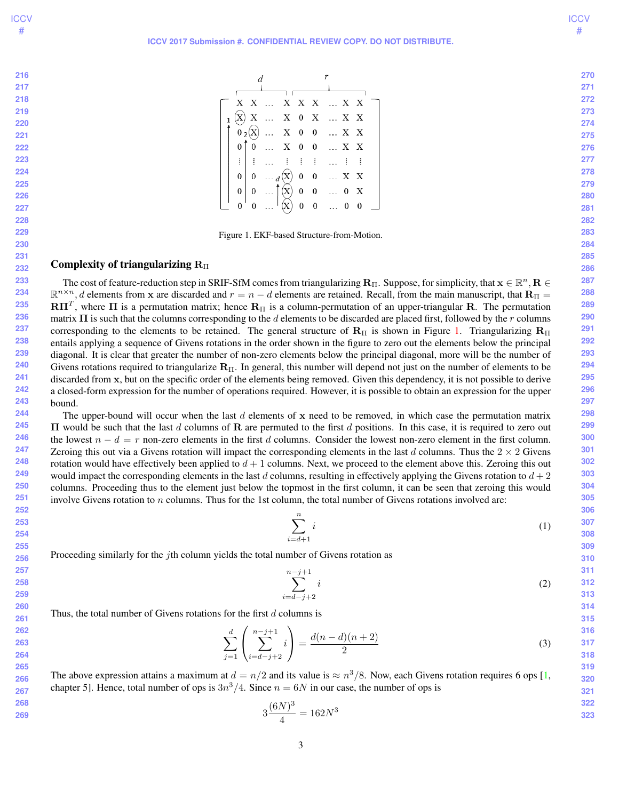<span id="page-2-1"></span>

| 216 |
|-----|
| 217 |
| 218 |
| 219 |
| 220 |
| 221 |
| 222 |
| 223 |

|                |                |            |                 |                           |              |                | X X  X X X  X X                                                                                                                           |                |  |
|----------------|----------------|------------|-----------------|---------------------------|--------------|----------------|-------------------------------------------------------------------------------------------------------------------------------------------|----------------|--|
| $\overline{1}$ |                |            |                 |                           |              |                | $\begin{array}{cccccccccccccc} \mathbf{X} & \ldots & \mathbf{X} & \mathbf{0} & \mathbf{X} & \ldots & \mathbf{X} & \mathbf{X} \end{array}$ |                |  |
|                |                | $0_{2}(X)$ |                 |                           |              |                | $\ldots\quad\mathbf{X}\quad\mathbf{0}\quad\mathbf{0}\quad\ldots\quad\mathbf{X}\quad\mathbf{X}$                                            |                |  |
|                | 0 <sup>T</sup> |            |                 |                           |              |                | $\begin{matrix} 0 & \ldots & \textbf{X} & 0 & 0 & \ldots & \textbf{X} & \textbf{X} \end{matrix}$                                          |                |  |
|                |                | ET E       |                 |                           |              |                | 血管主体血管主                                                                                                                                   |                |  |
|                | $\overline{0}$ |            | $0 \ldots d(X)$ |                           |              |                | $0\quad 0\quad \dots\ X\quad X$                                                                                                           |                |  |
|                | $\mathbf{0}$   | $\theta$   |                 |                           |              |                | (X) 0 0  0 X                                                                                                                              |                |  |
|                |                |            |                 | $\boldsymbol{\mathrm{X}}$ | $\mathbf{0}$ | $\overline{0}$ | $\cdots$ 0                                                                                                                                | $\overline{0}$ |  |

<span id="page-2-0"></span>Figure 1. EKF-based Structure-from-Motion.

#### Complexity of triangularizing  $R_{\Pi}$

 The cost of feature-reduction step in SRIF-SfM comes from triangularizing  $\bf R_{II}$ . Suppose, for simplicity, that  ${\bf x}\in\mathbb{R}^n,$   $\bf R\in$  $\mathbb{R}^{n \times n}$ , d elements from x are discarded and  $r = n - d$  elements are retained. Recall, from the main manuscript, that  $\mathbf{R}_{\Pi}$  $\mathbf{R}\Pi^T$ , where  $\Pi$  is a permutation matrix; hence  $\mathbf{R}_\Pi$  is a column-permutation of an upper-triangular  $\mathbf{R}$ . The permutation matrix  $\Pi$  is such that the columns corresponding to the d elements to be discarded are placed first, followed by the r columns corresponding to the elements to be retained. The general structure of  $R_{\Pi}$  is shown in Figure [1.](#page-2-0) Triangularizing  $R_{\Pi}$ entails applying a sequence of Givens rotations in the order shown in the figure to zero out the elements below the principal diagonal. It is clear that greater the number of non-zero elements below the principal diagonal, more will be the number of Givens rotations required to triangularize  $\mathbf{R}_{\Pi}$ . In general, this number will depend not just on the number of elements to be discarded from x, but on the specific order of the elements being removed. Given this dependency, it is not possible to derive a closed-form expression for the number of operations required. However, it is possible to obtain an expression for the upper bound.

 The upper-bound will occur when the last  $d$  elements of x need to be removed, in which case the permutation matrix  $\Pi$  would be such that the last d columns of R are permuted to the first d positions. In this case, it is required to zero out the lowest  $n - d = r$  non-zero elements in the first d columns. Consider the lowest non-zero element in the first column. Zeroing this out via a Givens rotation will impact the corresponding elements in the last d columns. Thus the  $2 \times 2$  Givens rotation would have effectively been applied to  $d + 1$  columns. Next, we proceed to the element above this. Zeroing this out would impact the corresponding elements in the last d columns, resulting in effectively applying the Givens rotation to  $d+2$ columns. Proceeding thus to the element just below the topmost in the first column, it can be seen that zeroing this would involve Givens rotation to n columns. Thus for the 1st column, the total number of Givens rotations involved are:

$$
\sum_{i=d+1}^{n} i \tag{1}
$$

Proceeding similarly for the jth column yields the total number of Givens rotation as

$$
\sum_{i=d-j+2}^{n-j+1} i
$$
 (2)

Thus, the total number of Givens rotations for the first  $d$  columns is

$$
\sum_{j=1}^{d} \left( \sum_{i=d-j+2}^{n-j+1} i \right) = \frac{d(n-d)(n+2)}{2} \tag{3}
$$

The above expression attains a maximum at  $d = n/2$  and its value is  $\approx n^3/8$ . Now, each Givens rotation requires 6 ops [\[1,](#page-3-0) chapter 5]. Hence, total number of ops is  $3n^3/4$ . Since  $n = 6N$  in our case, the number of ops is

$$
3\frac{(6N)^3}{4} = 162N^3
$$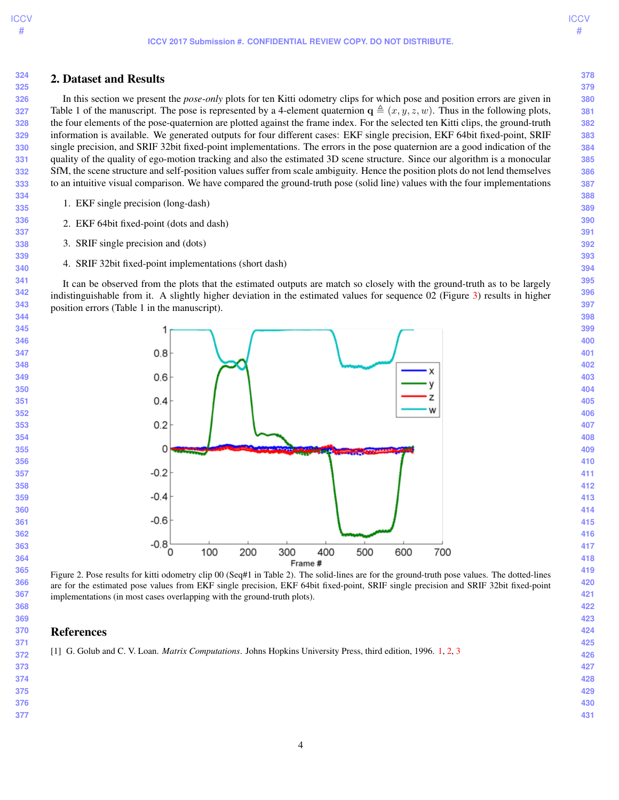

#### 2. Dataset and Results

In this section we present the *pose-only* plots for ten Kitti odometry clips for which pose and position errors are given in Table 1 of the manuscript. The pose is represented by a 4-element quaternion  $\mathbf{q} \triangleq (x, y, z, w)$ . Thus in the following plots, the four elements of the pose-quaternion are plotted against the frame index. For the selected ten Kitti clips, the ground-truth information is available. We generated outputs for four different cases: EKF single precision, EKF 64bit fixed-point, SRIF single precision, and SRIF 32bit fixed-point implementations. The errors in the pose quaternion are a good indication of the quality of the quality of ego-motion tracking and also the estimated 3D scene structure. Since our algorithm is a monocular SfM, the scene structure and self-position values suffer from scale ambiguity. Hence the position plots do not lend themselves to an intuitive visual comparison. We have compared the ground-truth pose (solid line) values with the four implementations

- 1. EKF single precision (long-dash)
- 2. EKF 64bit fixed-point (dots and dash)
- 3. SRIF single precision and (dots)
- 4. SRIF 32bit fixed-point implementations (short dash)

It can be observed from the plots that the estimated outputs are match so closely with the ground-truth as to be largely indistinguishable from it. A slightly higher deviation in the estimated values for sequence (Figure  $3$ ) results in higher position errors (Table 1 in the manuscript).



### References

<span id="page-3-0"></span>[1] G. Golub and C. V. Loan. *Matrix Computations*. Johns Hopkins University Press, third edition, 1996. [1,](#page-0-0) [2,](#page-1-0) [3](#page-2-1)

 

 

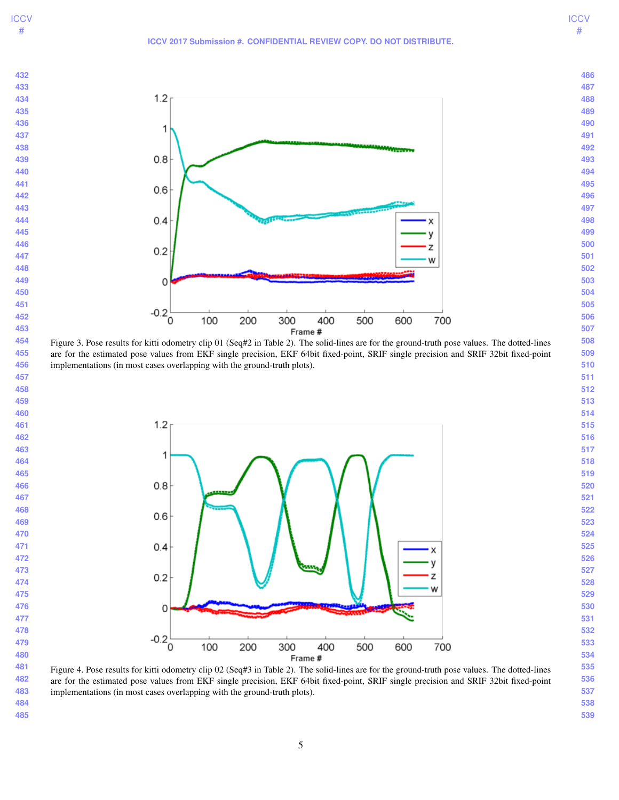#### **ICCV 2017 Submission #. CONFIDENTIAL REVIEW COPY. DO NOT DISTRIBUTE.**

**ICCV** #



<span id="page-4-0"></span>Figure 3. Pose results for kitti odometry clip 01 (Seq#2 in Table 2). The solid-lines are for the ground-truth pose values. The dotted-lines are for the estimated pose values from EKF single precision, EKF 64bit fixed-point, SRIF single precision and SRIF 32bit fixed-point implementations (in most cases overlapping with the ground-truth plots).



 Figure 4. Pose results for kitti odometry clip 02 (Seq#3 in Table 2). The solid-lines are for the ground-truth pose values. The dotted-lines are for the estimated pose values from EKF single precision, EKF 64bit fixed-point, SRIF single precision and SRIF 32bit fixed-point implementations (in most cases overlapping with the ground-truth plots).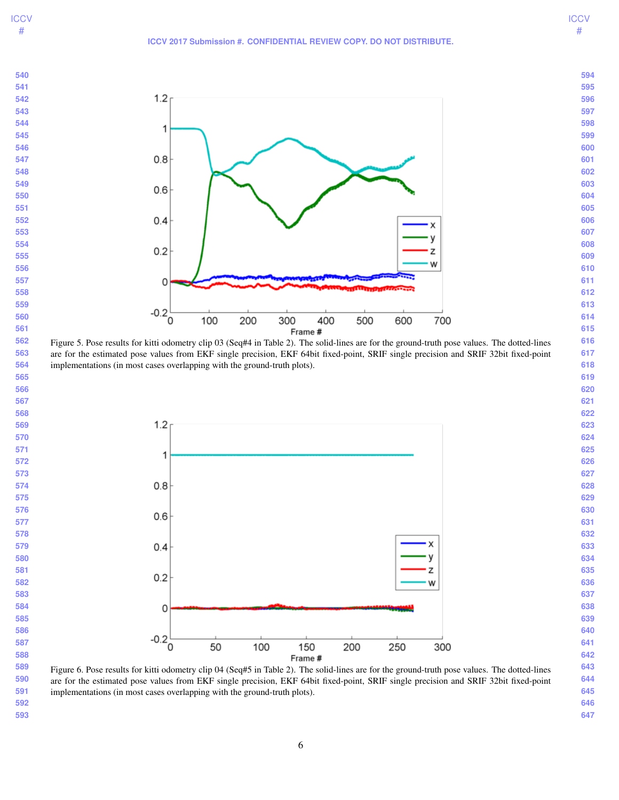

**ICCV** #



 Figure 5. Pose results for kitti odometry clip 03 (Seq#4 in Table 2). The solid-lines are for the ground-truth pose values. The dotted-lines are for the estimated pose values from EKF single precision, EKF 64bit fixed-point, SRIF single precision and SRIF 32bit fixed-point implementations (in most cases overlapping with the ground-truth plots).



 Figure 6. Pose results for kitti odometry clip 04 (Seq#5 in Table 2). The solid-lines are for the ground-truth pose values. The dotted-lines are for the estimated pose values from EKF single precision, EKF 64bit fixed-point, SRIF single precision and SRIF 32bit fixed-point implementations (in most cases overlapping with the ground-truth plots).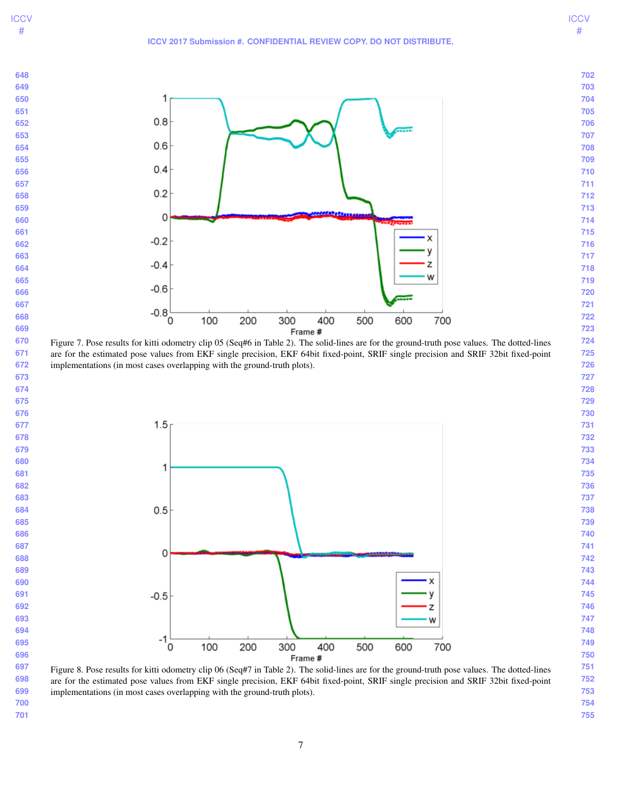

 are for the estimated pose values from EKF single precision, EKF 64bit fixed-point, SRIF single precision and SRIF 32bit fixed-point implementations (in most cases overlapping with the ground-truth plots).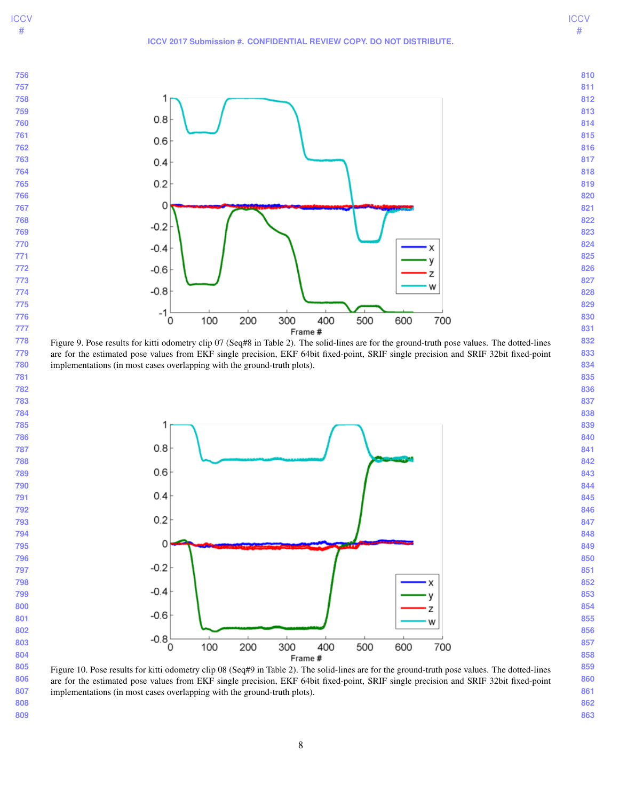**ICCV** #



 are for the estimated pose values from EKF single precision, EKF 64bit fixed-point, SRIF single precision and SRIF 32bit fixed-point implementations (in most cases overlapping with the ground-truth plots).



 Figure 10. Pose results for kitti odometry clip 08 (Seq#9 in Table 2). The solid-lines are for the ground-truth pose values. The dotted-lines are for the estimated pose values from EKF single precision, EKF 64bit fixed-point, SRIF single precision and SRIF 32bit fixed-point implementations (in most cases overlapping with the ground-truth plots).